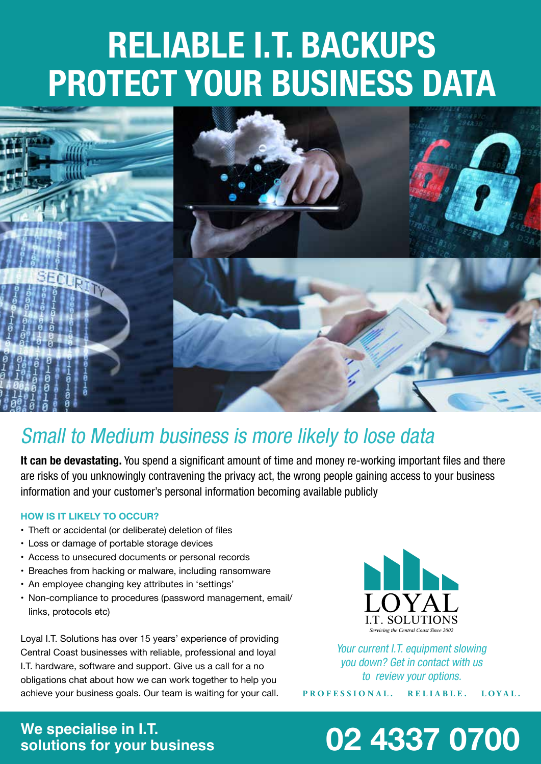# **RELIABLE I.T. BACKUPS PROTECT YOUR BUSINESS DATA**



### Small to Medium business is more likely to lose data

**It can be devastating.** You spend a significant amount of time and money re-working important files and there are risks of you unknowingly contravening the privacy act, the wrong people gaining access to your business information and your customer's personal information becoming available publicly

#### **HOW IS IT LIKELY TO OCCUR?**

- Theft or accidental (or deliberate) deletion of files
- • Loss or damage of portable storage devices
- • Access to unsecured documents or personal records
- Breaches from hacking or malware, including ransomware
- • An employee changing key attributes in 'settings'
- Non-compliance to procedures (password management, email/ links, protocols etc)

Loyal I.T. Solutions has over 15 years' experience of providing Central Coast businesses with reliable, professional and loyal I.T. hardware, software and support. Give us a call for a no obligations chat about how we can work together to help you achieve your business goals. Our team is waiting for your call.



Your current I.T. equipment slowing you down? Get in contact with us to review your options.

**PROFESSIONAL. RELIABLE. LOYAL.**

# **We specialise in I.T.**

## **solutions for your business 02 4337 0700**